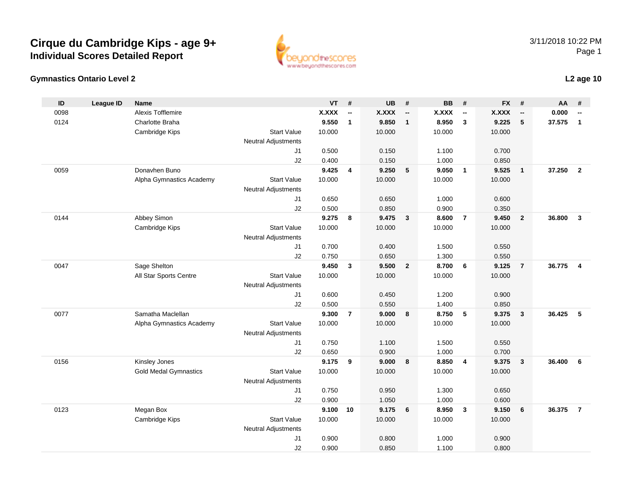#### **Gymnastics Ontario Level 2**

**ID**

3/11/2018 10:22 PMPage 1

| ID   | League ID | <b>Name</b>                  |                            | VT           | #                        | <b>UB</b>    | #                        | BB.          | #                        | <b>FX</b>    | #                        | AA     | #                        |
|------|-----------|------------------------------|----------------------------|--------------|--------------------------|--------------|--------------------------|--------------|--------------------------|--------------|--------------------------|--------|--------------------------|
| 0098 |           | Alexis Tofflemire            |                            | <b>X.XXX</b> | $\overline{\phantom{a}}$ | <b>X.XXX</b> | $\overline{\phantom{a}}$ | <b>X.XXX</b> | $\overline{\phantom{a}}$ | <b>X.XXX</b> | $\overline{\phantom{a}}$ | 0.000  | $\overline{\phantom{a}}$ |
| 0124 |           | Charlotte Braha              |                            | 9.550        | $\mathbf{1}$             | 9.850        | $\overline{1}$           | 8.950        | $\mathbf{3}$             | 9.225        | 5                        | 37.575 | $\mathbf{1}$             |
|      |           | Cambridge Kips               | <b>Start Value</b>         | 10.000       |                          | 10.000       |                          | 10.000       |                          | 10.000       |                          |        |                          |
|      |           |                              | <b>Neutral Adjustments</b> |              |                          |              |                          |              |                          |              |                          |        |                          |
|      |           |                              | J1                         | 0.500        |                          | 0.150        |                          | 1.100        |                          | 0.700        |                          |        |                          |
|      |           |                              | J2                         | 0.400        |                          | 0.150        |                          | 1.000        |                          | 0.850        |                          |        |                          |
| 0059 |           | Donavhen Buno                |                            | 9.425        | $\overline{4}$           | 9.250        | 5                        | 9.050        | $\mathbf{1}$             | 9.525        | $\mathbf{1}$             | 37.250 | $\overline{2}$           |
|      |           | Alpha Gymnastics Academy     | <b>Start Value</b>         | 10.000       |                          | 10.000       |                          | 10.000       |                          | 10.000       |                          |        |                          |
|      |           |                              | <b>Neutral Adjustments</b> |              |                          |              |                          |              |                          |              |                          |        |                          |
|      |           |                              | J1                         | 0.650        |                          | 0.650        |                          | 1.000        |                          | 0.600        |                          |        |                          |
|      |           |                              | J2                         | 0.500        |                          | 0.850        |                          | 0.900        |                          | 0.350        |                          |        |                          |
| 0144 |           | Abbey Simon                  |                            | 9.275        | 8                        | 9.475        | $\overline{\mathbf{3}}$  | 8.600        | $\overline{7}$           | 9.450        | $\overline{2}$           | 36.800 | $\overline{\mathbf{3}}$  |
|      |           | Cambridge Kips               | <b>Start Value</b>         | 10.000       |                          | 10.000       |                          | 10.000       |                          | 10.000       |                          |        |                          |
|      |           |                              | <b>Neutral Adjustments</b> |              |                          |              |                          |              |                          |              |                          |        |                          |
|      |           |                              | J1                         | 0.700        |                          | 0.400        |                          | 1.500        |                          | 0.550        |                          |        |                          |
|      |           |                              | J2                         | 0.750        |                          | 0.650        |                          | 1.300        |                          | 0.550        |                          |        |                          |
| 0047 |           | Sage Shelton                 |                            | 9.450        | $\mathbf{3}$             | 9.500        | $\overline{\mathbf{2}}$  | 8.700        | 6                        | 9.125        | $\overline{7}$           | 36.775 | $\overline{\mathbf{4}}$  |
|      |           | All Star Sports Centre       | <b>Start Value</b>         | 10.000       |                          | 10.000       |                          | 10.000       |                          | 10.000       |                          |        |                          |
|      |           |                              | <b>Neutral Adjustments</b> |              |                          |              |                          |              |                          |              |                          |        |                          |
|      |           |                              | J1                         | 0.600        |                          | 0.450        |                          | 1.200        |                          | 0.900        |                          |        |                          |
|      |           |                              | J2                         | 0.500        |                          | 0.550        |                          | 1.400        |                          | 0.850        |                          |        |                          |
| 0077 |           | Samatha Maclellan            |                            | 9.300        | $\overline{7}$           | 9.000        | 8                        | 8.750        | 5                        | 9.375        | $\mathbf{3}$             | 36.425 | 5                        |
|      |           | Alpha Gymnastics Academy     | <b>Start Value</b>         | 10.000       |                          | 10.000       |                          | 10.000       |                          | 10.000       |                          |        |                          |
|      |           |                              | <b>Neutral Adjustments</b> |              |                          |              |                          |              |                          |              |                          |        |                          |
|      |           |                              | J1                         | 0.750        |                          | 1.100        |                          | 1.500        |                          | 0.550        |                          |        |                          |
|      |           |                              | J2                         | 0.650        |                          | 0.900        |                          | 1.000        |                          | 0.700        |                          |        |                          |
| 0156 |           | Kinsley Jones                |                            | 9.175        | 9                        | 9.000        | 8                        | 8.850        | $\overline{\mathbf{4}}$  | 9.375        | 3                        | 36.400 | 6                        |
|      |           | <b>Gold Medal Gymnastics</b> | <b>Start Value</b>         | 10.000       |                          | 10.000       |                          | 10.000       |                          | 10.000       |                          |        |                          |
|      |           |                              | <b>Neutral Adjustments</b> |              |                          |              |                          |              |                          |              |                          |        |                          |
|      |           |                              | J1                         | 0.750        |                          | 0.950        |                          | 1.300        |                          | 0.650        |                          |        |                          |
|      |           |                              | J2                         | 0.900        |                          | 1.050        |                          | 1.000        |                          | 0.600        |                          |        |                          |
| 0123 |           | Megan Box                    |                            | 9.100        | 10                       | 9.175        | 6                        | 8.950        | $\mathbf{3}$             | 9.150        | $6\phantom{1}6$          | 36.375 | $\overline{7}$           |
|      |           | Cambridge Kips               | <b>Start Value</b>         | 10.000       |                          | 10.000       |                          | 10.000       |                          | 10.000       |                          |        |                          |
|      |           |                              | <b>Neutral Adjustments</b> |              |                          |              |                          |              |                          |              |                          |        |                          |
|      |           |                              | J1                         | 0.900        |                          | 0.800        |                          | 1.000        |                          | 0.900        |                          |        |                          |
|      |           |                              | J2                         | 0.900        |                          | 0.850        |                          | 1.100        |                          | 0.800        |                          |        |                          |

**L2 age 10**

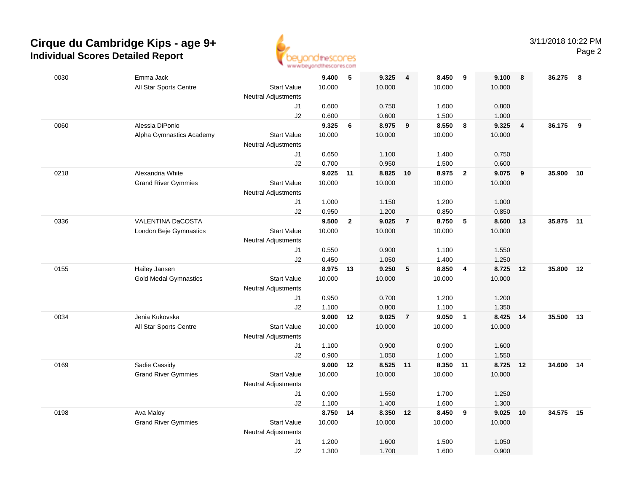

| $\sqrt{5}$<br>0030<br>Emma Jack<br>9.400<br>9.325<br>$\overline{4}$             | 8.450<br>9                       | 9.100<br>8                       | 36.275<br>- 8 |
|---------------------------------------------------------------------------------|----------------------------------|----------------------------------|---------------|
| 10.000<br>All Star Sports Centre<br><b>Start Value</b><br>10.000                | 10.000                           | 10.000                           |               |
| <b>Neutral Adjustments</b>                                                      |                                  |                                  |               |
| 0.600<br>0.750<br>J1                                                            | 1.600                            | 0.800                            |               |
| J2<br>0.600<br>0.600                                                            | 1.500                            | 1.000                            |               |
| Alessia DiPonio<br>9.325<br>8.975<br>0060<br>6<br>$\overline{\mathbf{9}}$       | 8.550<br>8                       | 9.325<br>$\overline{\mathbf{4}}$ | 36.175<br>- 9 |
| Alpha Gymnastics Academy<br><b>Start Value</b><br>10.000<br>10.000              | 10.000                           | 10.000                           |               |
| Neutral Adjustments                                                             |                                  |                                  |               |
| 0.650<br>1.100<br>J1                                                            | 1.400                            | 0.750                            |               |
| 0.700<br>J2<br>0.950                                                            | 1.500                            | 0.600                            |               |
| Alexandria White<br>9.025 11<br>8.825<br>0218<br>10                             | 8.975<br>$\overline{2}$          | 9.075<br>9                       | 35.900<br>10  |
| 10.000<br>10.000<br><b>Grand River Gymmies</b><br><b>Start Value</b>            | 10.000                           | 10.000                           |               |
| Neutral Adjustments                                                             |                                  |                                  |               |
| 1.000<br>1.150<br>J1                                                            | 1.200                            | 1.000                            |               |
| J2<br>0.950<br>1.200                                                            | 0.850                            | 0.850                            |               |
| 0336<br>VALENTINA DaCOSTA<br>9.500<br>$\overline{2}$<br>9.025<br>$\overline{7}$ | 8.750<br>5                       | 8.600<br>13                      | 35.875<br>11  |
| <b>Start Value</b><br>10.000<br>10.000<br>London Beje Gymnastics                | 10.000                           | 10.000                           |               |
| <b>Neutral Adjustments</b>                                                      |                                  |                                  |               |
| 0.550<br>0.900<br>J1                                                            | 1.100                            | 1.550                            |               |
| 0.450<br>J2<br>1.050                                                            | 1.400                            | 1.250                            |               |
| 8.975<br>9.250<br>0155<br>13<br>5<br>Hailey Jansen                              | 8.850<br>$\overline{4}$          | 8.725<br>12                      | 35.800<br>12  |
| <b>Gold Medal Gymnastics</b><br>10.000<br>10.000<br><b>Start Value</b>          | 10.000                           | 10.000                           |               |
| <b>Neutral Adjustments</b>                                                      |                                  |                                  |               |
| 0.950<br>0.700<br>J1                                                            | 1.200                            | 1.200                            |               |
| J2<br>1.100<br>0.800                                                            | 1.100                            | 1.350                            |               |
| Jenia Kukovska<br>0034<br>9.000<br>9.025<br>$\overline{7}$<br>12                | 9.050<br>$\overline{\mathbf{1}}$ | 8.425<br>14                      | 35.500<br>13  |
| All Star Sports Centre<br><b>Start Value</b><br>10.000<br>10.000                | 10.000                           | 10.000                           |               |
| Neutral Adjustments                                                             |                                  |                                  |               |
| 0.900<br>J1<br>1.100                                                            | 0.900                            | 1.600                            |               |
| 0.900<br>1.050<br>J2                                                            | 1.000                            | 1.550                            |               |
| 9.000<br>8.525<br>0169<br>Sadie Cassidy<br>12<br>11                             | 8.350<br>11                      | 8.725<br>12                      | 34.600<br>14  |
| <b>Grand River Gymmies</b><br><b>Start Value</b><br>10.000<br>10.000            | 10.000                           | 10.000                           |               |
| <b>Neutral Adjustments</b>                                                      |                                  |                                  |               |
| 0.900<br>1.550<br>J1                                                            | 1.700                            | 1.250                            |               |
| 1.100<br>1.400<br>J2                                                            | 1.600                            | 1.300                            |               |
| Ava Maloy<br>8.750 14<br>8.350 12<br>0198                                       | 8.450<br>- 9                     | 9.025<br>10                      | 34.575<br>15  |
| <b>Start Value</b><br><b>Grand River Gymmies</b><br>10.000<br>10.000            | 10.000                           | 10.000                           |               |
| <b>Neutral Adjustments</b>                                                      |                                  |                                  |               |
| 1.200<br>1.600<br>J1                                                            | 1.500                            | 1.050                            |               |
| J2<br>1.300<br>1.700                                                            | 1.600                            | 0.900                            |               |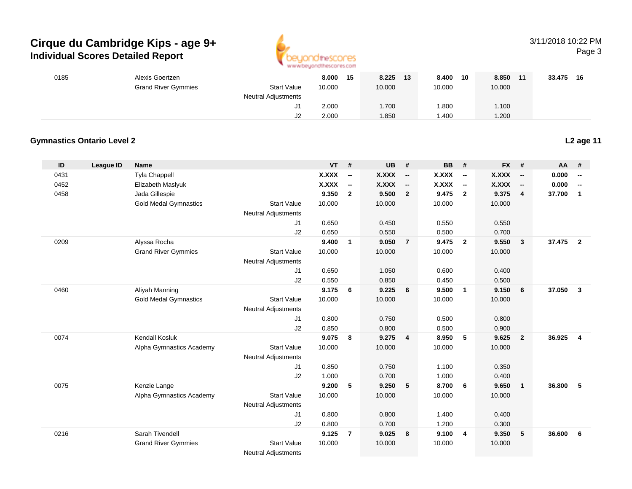

## 3/11/2018 10:22 PM

Page 3

|                  | Alexis Goertzen              |                                                                                                                                                                                                                             | 8.000                                                                                                                                                                                                                              | 15                                                                                                                                               |                                    | 13                                                                                                                                      | 8.400                                           | 10                                                                                                                                               |                             | 11                                                                                                                                      |                     |                                                     |
|------------------|------------------------------|-----------------------------------------------------------------------------------------------------------------------------------------------------------------------------------------------------------------------------|------------------------------------------------------------------------------------------------------------------------------------------------------------------------------------------------------------------------------------|--------------------------------------------------------------------------------------------------------------------------------------------------|------------------------------------|-----------------------------------------------------------------------------------------------------------------------------------------|-------------------------------------------------|--------------------------------------------------------------------------------------------------------------------------------------------------|-----------------------------|-----------------------------------------------------------------------------------------------------------------------------------------|---------------------|-----------------------------------------------------|
|                  | <b>Grand River Gymmies</b>   | <b>Start Value</b>                                                                                                                                                                                                          | 10.000                                                                                                                                                                                                                             |                                                                                                                                                  | 10.000                             |                                                                                                                                         | 10.000                                          |                                                                                                                                                  | 10.000                      |                                                                                                                                         |                     |                                                     |
|                  |                              | <b>Neutral Adjustments</b>                                                                                                                                                                                                  |                                                                                                                                                                                                                                    |                                                                                                                                                  |                                    |                                                                                                                                         |                                                 |                                                                                                                                                  |                             |                                                                                                                                         |                     |                                                     |
|                  |                              | J1                                                                                                                                                                                                                          |                                                                                                                                                                                                                                    |                                                                                                                                                  |                                    |                                                                                                                                         |                                                 |                                                                                                                                                  | 1.100                       |                                                                                                                                         |                     |                                                     |
|                  |                              |                                                                                                                                                                                                                             |                                                                                                                                                                                                                                    |                                                                                                                                                  | 1.850                              |                                                                                                                                         |                                                 |                                                                                                                                                  |                             |                                                                                                                                         |                     |                                                     |
|                  |                              |                                                                                                                                                                                                                             |                                                                                                                                                                                                                                    |                                                                                                                                                  |                                    |                                                                                                                                         |                                                 |                                                                                                                                                  |                             |                                                                                                                                         |                     |                                                     |
|                  |                              |                                                                                                                                                                                                                             |                                                                                                                                                                                                                                    |                                                                                                                                                  |                                    |                                                                                                                                         |                                                 |                                                                                                                                                  |                             |                                                                                                                                         |                     | L <sub>2</sub> age 11                               |
| <b>League ID</b> | Name                         |                                                                                                                                                                                                                             | VT                                                                                                                                                                                                                                 |                                                                                                                                                  | <b>UB</b>                          | #                                                                                                                                       | <b>BB</b>                                       |                                                                                                                                                  | <b>FX</b>                   | #                                                                                                                                       | AA                  | #                                                   |
|                  | Tyla Chappell                |                                                                                                                                                                                                                             | <b>X.XXX</b>                                                                                                                                                                                                                       | $\overline{\phantom{a}}$                                                                                                                         | <b>X.XXX</b>                       | $\overline{\phantom{a}}$                                                                                                                | <b>X.XXX</b>                                    | $\overline{\phantom{a}}$                                                                                                                         | X.XXX                       | $\overline{\phantom{a}}$                                                                                                                | 0.000               | $\overline{\phantom{a}}$                            |
|                  | Elizabeth Maslyuk            |                                                                                                                                                                                                                             | <b>X.XXX</b>                                                                                                                                                                                                                       | $\overline{\phantom{a}}$                                                                                                                         | <b>X.XXX</b>                       | $\overline{\phantom{a}}$                                                                                                                | <b>X.XXX</b>                                    | $\overline{\phantom{a}}$                                                                                                                         | <b>X.XXX</b>                | $\overline{\phantom{a}}$                                                                                                                | 0.000               | $\overline{\phantom{a}}$                            |
|                  | Jada Gillespie               |                                                                                                                                                                                                                             | 9.350                                                                                                                                                                                                                              | $\overline{2}$                                                                                                                                   | 9.500                              | $\overline{2}$                                                                                                                          | 9.475                                           | $\overline{2}$                                                                                                                                   | 9.375                       | $\overline{4}$                                                                                                                          | 37.700              | $\overline{1}$                                      |
|                  | <b>Gold Medal Gymnastics</b> | <b>Start Value</b>                                                                                                                                                                                                          | 10.000                                                                                                                                                                                                                             |                                                                                                                                                  | 10.000                             |                                                                                                                                         | 10.000                                          |                                                                                                                                                  | 10.000                      |                                                                                                                                         |                     |                                                     |
|                  |                              | <b>Neutral Adjustments</b>                                                                                                                                                                                                  |                                                                                                                                                                                                                                    |                                                                                                                                                  |                                    |                                                                                                                                         |                                                 |                                                                                                                                                  |                             |                                                                                                                                         |                     |                                                     |
|                  |                              | J1                                                                                                                                                                                                                          | 0.650                                                                                                                                                                                                                              |                                                                                                                                                  | 0.450                              |                                                                                                                                         | 0.550                                           |                                                                                                                                                  | 0.550                       |                                                                                                                                         |                     |                                                     |
|                  |                              | J2                                                                                                                                                                                                                          | 0.650                                                                                                                                                                                                                              |                                                                                                                                                  | 0.550                              |                                                                                                                                         | 0.500                                           |                                                                                                                                                  | 0.700                       |                                                                                                                                         |                     |                                                     |
|                  |                              |                                                                                                                                                                                                                             |                                                                                                                                                                                                                                    |                                                                                                                                                  | 9.050                              | $\overline{7}$                                                                                                                          |                                                 | $\overline{2}$                                                                                                                                   | 9.550                       | $\mathbf{3}$                                                                                                                            |                     |                                                     |
|                  |                              |                                                                                                                                                                                                                             |                                                                                                                                                                                                                                    |                                                                                                                                                  |                                    |                                                                                                                                         |                                                 |                                                                                                                                                  |                             |                                                                                                                                         |                     |                                                     |
|                  |                              |                                                                                                                                                                                                                             |                                                                                                                                                                                                                                    |                                                                                                                                                  |                                    |                                                                                                                                         |                                                 |                                                                                                                                                  |                             |                                                                                                                                         |                     |                                                     |
|                  |                              | J1                                                                                                                                                                                                                          |                                                                                                                                                                                                                                    |                                                                                                                                                  |                                    |                                                                                                                                         |                                                 |                                                                                                                                                  |                             |                                                                                                                                         |                     |                                                     |
|                  |                              |                                                                                                                                                                                                                             |                                                                                                                                                                                                                                    |                                                                                                                                                  |                                    |                                                                                                                                         |                                                 |                                                                                                                                                  |                             |                                                                                                                                         |                     |                                                     |
|                  |                              |                                                                                                                                                                                                                             |                                                                                                                                                                                                                                    |                                                                                                                                                  |                                    |                                                                                                                                         |                                                 |                                                                                                                                                  |                             |                                                                                                                                         |                     | $\overline{\mathbf{3}}$                             |
|                  |                              |                                                                                                                                                                                                                             |                                                                                                                                                                                                                                    |                                                                                                                                                  |                                    |                                                                                                                                         |                                                 |                                                                                                                                                  |                             |                                                                                                                                         |                     |                                                     |
|                  |                              |                                                                                                                                                                                                                             |                                                                                                                                                                                                                                    |                                                                                                                                                  |                                    |                                                                                                                                         |                                                 |                                                                                                                                                  |                             |                                                                                                                                         |                     |                                                     |
|                  |                              |                                                                                                                                                                                                                             |                                                                                                                                                                                                                                    |                                                                                                                                                  |                                    |                                                                                                                                         |                                                 |                                                                                                                                                  |                             |                                                                                                                                         |                     |                                                     |
|                  |                              |                                                                                                                                                                                                                             |                                                                                                                                                                                                                                    |                                                                                                                                                  |                                    |                                                                                                                                         |                                                 |                                                                                                                                                  |                             |                                                                                                                                         |                     | $\overline{4}$                                      |
|                  |                              |                                                                                                                                                                                                                             |                                                                                                                                                                                                                                    |                                                                                                                                                  |                                    |                                                                                                                                         |                                                 |                                                                                                                                                  |                             |                                                                                                                                         |                     |                                                     |
|                  |                              |                                                                                                                                                                                                                             |                                                                                                                                                                                                                                    |                                                                                                                                                  |                                    |                                                                                                                                         |                                                 |                                                                                                                                                  |                             |                                                                                                                                         |                     |                                                     |
|                  |                              |                                                                                                                                                                                                                             |                                                                                                                                                                                                                                    |                                                                                                                                                  |                                    |                                                                                                                                         |                                                 |                                                                                                                                                  |                             |                                                                                                                                         |                     |                                                     |
|                  |                              |                                                                                                                                                                                                                             |                                                                                                                                                                                                                                    |                                                                                                                                                  |                                    |                                                                                                                                         |                                                 |                                                                                                                                                  |                             |                                                                                                                                         |                     |                                                     |
|                  |                              |                                                                                                                                                                                                                             |                                                                                                                                                                                                                                    |                                                                                                                                                  |                                    |                                                                                                                                         |                                                 |                                                                                                                                                  |                             | $\mathbf{1}$                                                                                                                            |                     | $\sqrt{5}$                                          |
|                  |                              |                                                                                                                                                                                                                             |                                                                                                                                                                                                                                    |                                                                                                                                                  |                                    |                                                                                                                                         |                                                 |                                                                                                                                                  |                             |                                                                                                                                         |                     |                                                     |
|                  |                              |                                                                                                                                                                                                                             |                                                                                                                                                                                                                                    |                                                                                                                                                  |                                    |                                                                                                                                         |                                                 |                                                                                                                                                  |                             |                                                                                                                                         |                     |                                                     |
|                  |                              | J1                                                                                                                                                                                                                          | 0.800                                                                                                                                                                                                                              |                                                                                                                                                  | 0.800                              |                                                                                                                                         | 1.400                                           |                                                                                                                                                  | 0.400                       |                                                                                                                                         |                     |                                                     |
|                  |                              | J2                                                                                                                                                                                                                          | 0.800                                                                                                                                                                                                                              |                                                                                                                                                  | 0.700                              |                                                                                                                                         | 1.200                                           |                                                                                                                                                  | 0.300                       |                                                                                                                                         |                     |                                                     |
|                  | Sarah Tivendell              |                                                                                                                                                                                                                             | 9.125                                                                                                                                                                                                                              | $\overline{7}$                                                                                                                                   | 9.025                              | 8                                                                                                                                       | 9.100                                           | 4                                                                                                                                                | 9.350                       | 5                                                                                                                                       | 36.600              | - 6                                                 |
|                  | <b>Grand River Gymmies</b>   | <b>Start Value</b>                                                                                                                                                                                                          | 10.000                                                                                                                                                                                                                             |                                                                                                                                                  | 10.000                             |                                                                                                                                         | 10.000                                          |                                                                                                                                                  | 10.000                      |                                                                                                                                         |                     |                                                     |
|                  |                              | <b>Gymnastics Ontario Level 2</b><br>Alyssa Rocha<br><b>Grand River Gymmies</b><br>Aliyah Manning<br><b>Gold Medal Gymnastics</b><br>Kendall Kosluk<br>Alpha Gymnastics Academy<br>Kenzie Lange<br>Alpha Gymnastics Academy | J2<br><b>Start Value</b><br>Neutral Adjustments<br>J2<br><b>Start Value</b><br><b>Neutral Adjustments</b><br>J1<br>J2<br><b>Start Value</b><br><b>Neutral Adjustments</b><br>J1<br>J2<br>Start Value<br><b>Neutral Adjustments</b> | 2.000<br>2.000<br>9.400<br>10.000<br>0.650<br>0.550<br>9.175<br>10.000<br>0.800<br>0.850<br>9.075<br>10.000<br>0.850<br>1.000<br>9.200<br>10.000 | #<br>$\overline{1}$<br>6<br>8<br>5 | 8.225<br>1.700<br>10.000<br>1.050<br>0.850<br>9.225<br>10.000<br>0.750<br>0.800<br>9.275<br>10.000<br>0.750<br>0.700<br>9.250<br>10.000 | 6<br>$\overline{\mathbf{4}}$<br>$5\phantom{.0}$ | 1.800<br>1.400<br>9.475<br>10.000<br>0.600<br>0.450<br>9.500<br>10.000<br>0.500<br>0.500<br>8.950<br>10.000<br>1.100<br>1.000<br>8.700<br>10.000 | #<br>$\mathbf{1}$<br>5<br>6 | 8.850<br>1.200<br>10.000<br>0.400<br>0.500<br>9.150<br>10.000<br>0.800<br>0.900<br>9.625<br>10.000<br>0.350<br>0.400<br>9.650<br>10.000 | 6<br>$\overline{2}$ | 33.475 16<br>37.475 2<br>37.050<br>36.925<br>36.800 |

Neutral Adjustments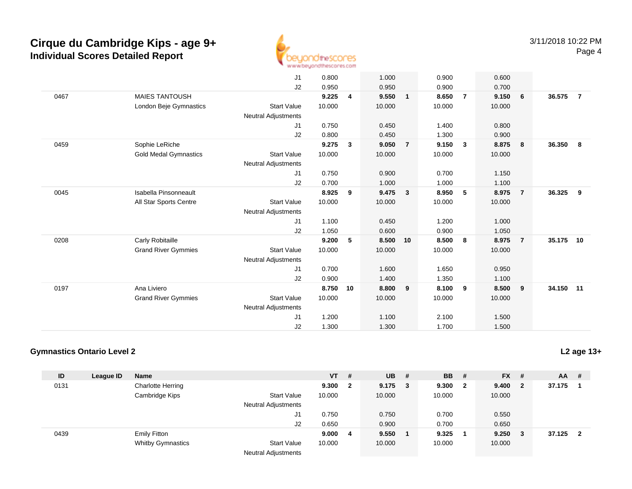

|      |                              | J1                         | 0.800  |                         | 1.000  |                | 0.900  |                | 0.600  |                |           |                |
|------|------------------------------|----------------------------|--------|-------------------------|--------|----------------|--------|----------------|--------|----------------|-----------|----------------|
|      |                              |                            |        |                         |        |                |        |                |        |                |           |                |
|      |                              | J2                         | 0.950  |                         | 0.950  |                | 0.900  |                | 0.700  |                |           |                |
| 0467 | <b>MAIES TANTOUSH</b>        |                            | 9.225  | $\overline{\mathbf{4}}$ | 9.550  | $\mathbf{1}$   | 8.650  | $\overline{7}$ | 9.150  | 6              | 36.575    | $\overline{7}$ |
|      | London Beje Gymnastics       | <b>Start Value</b>         | 10.000 |                         | 10.000 |                | 10.000 |                | 10.000 |                |           |                |
|      |                              | <b>Neutral Adjustments</b> |        |                         |        |                |        |                |        |                |           |                |
|      |                              | J <sub>1</sub>             | 0.750  |                         | 0.450  |                | 1.400  |                | 0.800  |                |           |                |
|      |                              | J2                         | 0.800  |                         | 0.450  |                | 1.300  |                | 0.900  |                |           |                |
| 0459 | Sophie LeRiche               |                            | 9.275  | $\mathbf{3}$            | 9.050  | $\overline{7}$ | 9.150  | $\mathbf{3}$   | 8.875  | 8              | 36.350    | - 8            |
|      | <b>Gold Medal Gymnastics</b> | <b>Start Value</b>         | 10.000 |                         | 10.000 |                | 10.000 |                | 10.000 |                |           |                |
|      |                              | <b>Neutral Adjustments</b> |        |                         |        |                |        |                |        |                |           |                |
|      |                              | J1                         | 0.750  |                         | 0.900  |                | 0.700  |                | 1.150  |                |           |                |
|      |                              | J2                         | 0.700  |                         | 1.000  |                | 1.000  |                | 1.100  |                |           |                |
| 0045 | Isabella Pinsonneault        |                            | 8.925  | 9                       | 9.475  | $\mathbf{3}$   | 8.950  | 5              | 8.975  | $\overline{7}$ | 36.325    | -9             |
|      | All Star Sports Centre       | <b>Start Value</b>         | 10.000 |                         | 10.000 |                | 10.000 |                | 10.000 |                |           |                |
|      |                              | <b>Neutral Adjustments</b> |        |                         |        |                |        |                |        |                |           |                |
|      |                              | J1                         | 1.100  |                         | 0.450  |                | 1.200  |                | 1.000  |                |           |                |
|      |                              | J2                         | 1.050  |                         | 0.600  |                | 0.900  |                | 1.050  |                |           |                |
| 0208 | Carly Robitaille             |                            | 9.200  | 5                       | 8.500  | 10             | 8.500  | 8              | 8.975  | $\overline{7}$ | 35.175    | 10             |
|      | <b>Grand River Gymmies</b>   | <b>Start Value</b>         | 10.000 |                         | 10.000 |                | 10.000 |                | 10.000 |                |           |                |
|      |                              | <b>Neutral Adjustments</b> |        |                         |        |                |        |                |        |                |           |                |
|      |                              | J <sub>1</sub>             | 0.700  |                         | 1.600  |                | 1.650  |                | 0.950  |                |           |                |
|      |                              |                            |        |                         |        |                |        |                |        |                |           |                |
|      |                              | J2                         | 0.900  |                         | 1.400  |                | 1.350  |                | 1.100  |                |           |                |
| 0197 | Ana Liviero                  |                            | 8.750  | 10                      | 8.800  | 9              | 8.100  | 9              | 8.500  | 9              | 34.150 11 |                |
|      | <b>Grand River Gymmies</b>   | <b>Start Value</b>         | 10.000 |                         | 10.000 |                | 10.000 |                | 10.000 |                |           |                |
|      |                              | <b>Neutral Adjustments</b> |        |                         |        |                |        |                |        |                |           |                |
|      |                              | J1                         | 1.200  |                         | 1.100  |                | 2.100  |                | 1.500  |                |           |                |
|      |                              | J2                         | 1.300  |                         | 1.300  |                | 1.700  |                | 1.500  |                |           |                |

### **Gymnastics Ontario Level 2**

| ID   | League ID | <b>Name</b>              |                            | <b>VT</b> | #            | $UB$ #    | <b>BB</b> | #            | $FX$ #      |                         | AA     | - #                     |
|------|-----------|--------------------------|----------------------------|-----------|--------------|-----------|-----------|--------------|-------------|-------------------------|--------|-------------------------|
| 0131 |           | <b>Charlotte Herring</b> |                            | 9.300     | $\mathbf{2}$ | $9.175$ 3 | 9.300     | $\mathbf{2}$ | 9.400       | $\overline{\mathbf{2}}$ | 37.175 |                         |
|      |           | Cambridge Kips           | <b>Start Value</b>         | 10.000    |              | 10.000    | 10.000    |              | 10.000      |                         |        |                         |
|      |           |                          | <b>Neutral Adjustments</b> |           |              |           |           |              |             |                         |        |                         |
|      |           |                          | J1                         | 0.750     |              | 0.750     | 0.700     |              | 0.550       |                         |        |                         |
|      |           |                          | J2                         | 0.650     |              | 0.900     | 0.700     |              | 0.650       |                         |        |                         |
| 0439 |           | <b>Emily Fitton</b>      |                            | 9.000     | -4           | 9.550     | 9.325     |              | $9.250 \t3$ |                         | 37.125 | $\overline{\mathbf{2}}$ |
|      |           | <b>Whitby Gymnastics</b> | <b>Start Value</b>         | 10.000    |              | 10.000    | 10.000    |              | 10.000      |                         |        |                         |
|      |           |                          | <b>Neutral Adjustments</b> |           |              |           |           |              |             |                         |        |                         |

**L2 age 13+**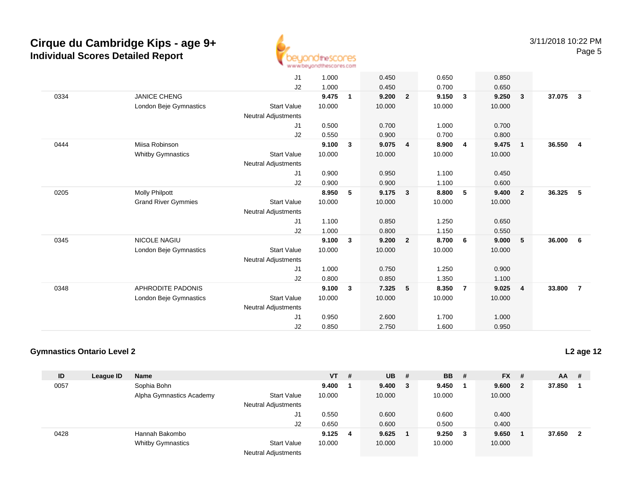

|      |                            | J1                         | 1.000  |              | 0.450  |                | 0.650  |                         | 0.850  |                         |        |                         |
|------|----------------------------|----------------------------|--------|--------------|--------|----------------|--------|-------------------------|--------|-------------------------|--------|-------------------------|
|      |                            | J2                         | 1.000  |              | 0.450  |                | 0.700  |                         | 0.650  |                         |        |                         |
| 0334 | <b>JANICE CHENG</b>        |                            | 9.475  | $\mathbf{1}$ | 9.200  | $\overline{2}$ | 9.150  | $\mathbf{3}$            | 9.250  | $\overline{\mathbf{3}}$ | 37.075 | $\overline{\mathbf{3}}$ |
|      | London Beje Gymnastics     | <b>Start Value</b>         | 10.000 |              | 10.000 |                | 10.000 |                         | 10.000 |                         |        |                         |
|      |                            | <b>Neutral Adjustments</b> |        |              |        |                |        |                         |        |                         |        |                         |
|      |                            | J <sub>1</sub>             | 0.500  |              | 0.700  |                | 1.000  |                         | 0.700  |                         |        |                         |
|      |                            | J2                         | 0.550  |              | 0.900  |                | 0.700  |                         | 0.800  |                         |        |                         |
| 0444 | Miisa Robinson             |                            | 9.100  | $\mathbf{3}$ | 9.075  | 4              | 8.900  | $\overline{\mathbf{4}}$ | 9.475  | $\overline{\mathbf{1}}$ | 36.550 | $\overline{4}$          |
|      | <b>Whitby Gymnastics</b>   | <b>Start Value</b>         | 10.000 |              | 10.000 |                | 10.000 |                         | 10.000 |                         |        |                         |
|      |                            | <b>Neutral Adjustments</b> |        |              |        |                |        |                         |        |                         |        |                         |
|      |                            | J1                         | 0.900  |              | 0.950  |                | 1.100  |                         | 0.450  |                         |        |                         |
|      |                            | J2                         | 0.900  |              | 0.900  |                | 1.100  |                         | 0.600  |                         |        |                         |
| 0205 | <b>Molly Philpott</b>      |                            | 8.950  | 5            | 9.175  | $\mathbf{3}$   | 8.800  | 5                       | 9.400  | $\overline{\mathbf{2}}$ | 36.325 | - 5                     |
|      | <b>Grand River Gymmies</b> | <b>Start Value</b>         | 10.000 |              | 10.000 |                | 10.000 |                         | 10.000 |                         |        |                         |
|      |                            | <b>Neutral Adjustments</b> |        |              |        |                |        |                         |        |                         |        |                         |
|      |                            | J1                         | 1.100  |              | 0.850  |                | 1.250  |                         | 0.650  |                         |        |                         |
|      |                            | J2                         | 1.000  |              | 0.800  |                | 1.150  |                         | 0.550  |                         |        |                         |
| 0345 | NICOLE NAGIU               |                            | 9.100  | 3            | 9.200  | $\overline{2}$ | 8.700  | 6                       | 9.000  | 5                       | 36.000 | - 6                     |
|      | London Beje Gymnastics     | <b>Start Value</b>         | 10.000 |              | 10.000 |                | 10.000 |                         | 10.000 |                         |        |                         |
|      |                            | <b>Neutral Adjustments</b> |        |              |        |                |        |                         |        |                         |        |                         |
|      |                            | J1                         | 1.000  |              | 0.750  |                | 1.250  |                         | 0.900  |                         |        |                         |
|      |                            | J2                         | 0.800  |              | 0.850  |                | 1.350  |                         | 1.100  |                         |        |                         |
| 0348 | APHRODITE PADONIS          |                            | 9.100  | $\mathbf{3}$ | 7.325  | 5              | 8.350  | $\overline{7}$          | 9.025  | $\overline{4}$          | 33.800 | $\overline{7}$          |
|      | London Beje Gymnastics     | <b>Start Value</b>         | 10.000 |              | 10.000 |                | 10.000 |                         | 10.000 |                         |        |                         |
|      |                            | <b>Neutral Adjustments</b> |        |              |        |                |        |                         |        |                         |        |                         |
|      |                            | J1                         | 0.950  |              | 2.600  |                | 1.700  |                         | 1.000  |                         |        |                         |
|      |                            | J2                         | 0.850  |              | 2.750  |                | 1.600  |                         | 0.950  |                         |        |                         |
|      |                            |                            |        |              |        |                |        |                         |        |                         |        |                         |

### **Gymnastics Ontario Level 2**

| ID   | League ID | <b>Name</b>              |                            | <b>VT</b> | #  | <b>UB</b> | -# | <b>BB</b> # |   | $FX$ # |                         | AA     | - #                     |
|------|-----------|--------------------------|----------------------------|-----------|----|-----------|----|-------------|---|--------|-------------------------|--------|-------------------------|
| 0057 |           | Sophia Bohn              |                            | 9.400     |    | 9.400     | 3  | 9.450       |   | 9.600  | $\overline{\mathbf{2}}$ | 37.850 |                         |
|      |           | Alpha Gymnastics Academy | <b>Start Value</b>         | 10.000    |    | 10.000    |    | 10.000      |   | 10.000 |                         |        |                         |
|      |           |                          | <b>Neutral Adjustments</b> |           |    |           |    |             |   |        |                         |        |                         |
|      |           |                          | J1                         | 0.550     |    | 0.600     |    | 0.600       |   | 0.400  |                         |        |                         |
|      |           |                          | J2                         | 0.650     |    | 0.600     |    | 0.500       |   | 0.400  |                         |        |                         |
| 0428 |           | Hannah Bakombo           |                            | 9.125     | -4 | 9.625     |    | 9.250       | 3 | 9.650  |                         | 37.650 | $\overline{\mathbf{2}}$ |
|      |           | <b>Whitby Gymnastics</b> | <b>Start Value</b>         | 10.000    |    | 10.000    |    | 10.000      |   | 10.000 |                         |        |                         |
|      |           |                          | <b>Neutral Adjustments</b> |           |    |           |    |             |   |        |                         |        |                         |

**L2 age 12**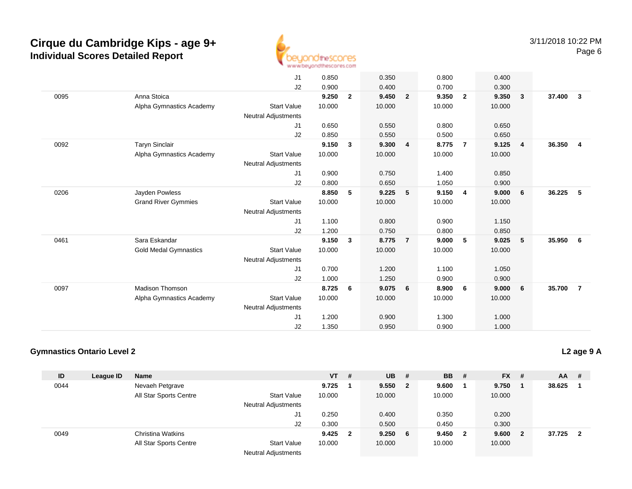

|      |                              | J1                         | 0.850  |                | 0.350  |                | 0.800  |                | 0.400  |                         |        |                         |
|------|------------------------------|----------------------------|--------|----------------|--------|----------------|--------|----------------|--------|-------------------------|--------|-------------------------|
|      |                              | J2                         | 0.900  |                | 0.400  |                | 0.700  |                | 0.300  |                         |        |                         |
| 0095 | Anna Stoica                  |                            | 9.250  | $\overline{2}$ | 9.450  | $\overline{2}$ | 9.350  | $\overline{2}$ | 9.350  | $\overline{\mathbf{3}}$ | 37.400 | $\overline{\mathbf{3}}$ |
|      | Alpha Gymnastics Academy     | <b>Start Value</b>         | 10.000 |                | 10.000 |                | 10.000 |                | 10.000 |                         |        |                         |
|      |                              | <b>Neutral Adjustments</b> |        |                |        |                |        |                |        |                         |        |                         |
|      |                              | J1                         | 0.650  |                | 0.550  |                | 0.800  |                | 0.650  |                         |        |                         |
|      |                              | J2                         | 0.850  |                | 0.550  |                | 0.500  |                | 0.650  |                         |        |                         |
| 0092 | Taryn Sinclair               |                            | 9.150  | $\mathbf{3}$   | 9.300  | 4              | 8.775  | $\overline{7}$ | 9.125  | $\overline{4}$          | 36.350 | $\overline{4}$          |
|      | Alpha Gymnastics Academy     | <b>Start Value</b>         | 10.000 |                | 10.000 |                | 10.000 |                | 10.000 |                         |        |                         |
|      |                              | <b>Neutral Adjustments</b> |        |                |        |                |        |                |        |                         |        |                         |
|      |                              | J1                         | 0.900  |                | 0.750  |                | 1.400  |                | 0.850  |                         |        |                         |
|      |                              | J2                         | 0.800  |                | 0.650  |                | 1.050  |                | 0.900  |                         |        |                         |
| 0206 | Jayden Powless               |                            | 8.850  | 5              | 9.225  | 5              | 9.150  | $\overline{4}$ | 9.000  | 6                       | 36.225 | - 5                     |
|      | <b>Grand River Gymmies</b>   | <b>Start Value</b>         | 10.000 |                | 10.000 |                | 10.000 |                | 10.000 |                         |        |                         |
|      |                              | <b>Neutral Adjustments</b> |        |                |        |                |        |                |        |                         |        |                         |
|      |                              | J1                         | 1.100  |                | 0.800  |                | 0.900  |                | 1.150  |                         |        |                         |
|      |                              | J2                         | 1.200  |                | 0.750  |                | 0.800  |                | 0.850  |                         |        |                         |
| 0461 | Sara Eskandar                |                            | 9.150  | 3              | 8.775  | $\overline{7}$ | 9.000  | 5              | 9.025  | 5                       | 35.950 | - 6                     |
|      | <b>Gold Medal Gymnastics</b> | <b>Start Value</b>         | 10.000 |                | 10.000 |                | 10.000 |                | 10.000 |                         |        |                         |
|      |                              | <b>Neutral Adjustments</b> |        |                |        |                |        |                |        |                         |        |                         |
|      |                              | J1                         | 0.700  |                | 1.200  |                | 1.100  |                | 1.050  |                         |        |                         |
|      |                              | J2                         | 1.000  |                | 1.250  |                | 0.900  |                | 0.900  |                         |        |                         |
| 0097 | <b>Madison Thomson</b>       |                            | 8.725  | 6              | 9.075  | 6              | 8.900  | 6              | 9.000  | 6                       | 35.700 | $\overline{7}$          |
|      | Alpha Gymnastics Academy     | <b>Start Value</b>         | 10.000 |                | 10.000 |                | 10.000 |                | 10.000 |                         |        |                         |
|      |                              | <b>Neutral Adjustments</b> |        |                |        |                |        |                |        |                         |        |                         |
|      |                              | J1                         | 1.200  |                | 0.900  |                | 1.300  |                | 1.000  |                         |        |                         |
|      |                              | J2                         | 1.350  |                | 0.950  |                | 0.900  |                | 1.000  |                         |        |                         |
|      |                              |                            |        |                |        |                |        |                |        |                         |        |                         |

#### **Gymnastics Ontario Level 2**

| ID   | League ID | <b>Name</b>            |                            | $VT$ # |                         | $UB$ #     |              | <b>BB</b> | - #                     | $FX$ # |                         | AA     | - #                     |
|------|-----------|------------------------|----------------------------|--------|-------------------------|------------|--------------|-----------|-------------------------|--------|-------------------------|--------|-------------------------|
| 0044 |           | Nevaeh Petgrave        |                            | 9.725  |                         | 9.550      | $\mathbf{2}$ | 9.600     |                         | 9.750  |                         | 38.625 |                         |
|      |           | All Star Sports Centre | <b>Start Value</b>         | 10.000 |                         | 10.000     |              | 10.000    |                         | 10.000 |                         |        |                         |
|      |           |                        | <b>Neutral Adjustments</b> |        |                         |            |              |           |                         |        |                         |        |                         |
|      |           |                        | J1                         | 0.250  |                         | 0.400      |              | 0.350     |                         | 0.200  |                         |        |                         |
|      |           |                        | J2                         | 0.300  |                         | 0.500      |              | 0.450     |                         | 0.300  |                         |        |                         |
| 0049 |           | Christina Watkins      |                            | 9.425  | $\overline{\mathbf{2}}$ | $9.250\ 6$ |              | 9.450     | $\overline{\mathbf{2}}$ | 9.600  | $\overline{\mathbf{2}}$ | 37.725 | $\overline{\mathbf{2}}$ |
|      |           | All Star Sports Centre | <b>Start Value</b>         | 10.000 |                         | 10.000     |              | 10.000    |                         | 10.000 |                         |        |                         |
|      |           |                        | <b>Neutral Adjustments</b> |        |                         |            |              |           |                         |        |                         |        |                         |

**L2 age 9 A**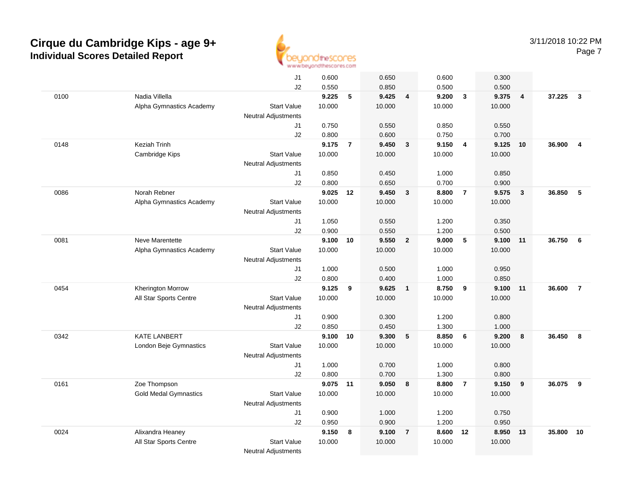

|      |                              | J1                         | 0.600           |                | 0.650           |                         | 0.600           |                | 0.300           |                |        |                |
|------|------------------------------|----------------------------|-----------------|----------------|-----------------|-------------------------|-----------------|----------------|-----------------|----------------|--------|----------------|
|      |                              | J2                         | 0.550           |                | 0.850           |                         | 0.500           |                | 0.500           |                |        |                |
| 0100 | Nadia Villella               |                            | 9.225           | 5              | 9.425           | $\overline{4}$          | 9.200           | $\mathbf{3}$   | 9.375           | $\overline{4}$ | 37.225 | $\mathbf{3}$   |
|      | Alpha Gymnastics Academy     | <b>Start Value</b>         | 10.000          |                | 10.000          |                         | 10.000          |                | 10.000          |                |        |                |
|      |                              | Neutral Adjustments        |                 |                |                 |                         |                 |                |                 |                |        |                |
|      |                              | J1                         | 0.750           |                | 0.550           |                         | 0.850           |                | 0.550           |                |        |                |
|      |                              | J2                         | 0.800           |                | 0.600           |                         | 0.750           |                | 0.700           |                |        |                |
| 0148 | Keziah Trinh                 | <b>Start Value</b>         | 9.175<br>10.000 | $\overline{7}$ | 9.450<br>10.000 | $\mathbf{3}$            | 9.150<br>10.000 | $\overline{4}$ | 9.125<br>10.000 | 10             | 36.900 | $\overline{4}$ |
|      | Cambridge Kips               | Neutral Adjustments        |                 |                |                 |                         |                 |                |                 |                |        |                |
|      |                              | J1                         | 0.850           |                | 0.450           |                         | 1.000           |                | 0.850           |                |        |                |
|      |                              | J2                         | 0.800           |                | 0.650           |                         | 0.700           |                | 0.900           |                |        |                |
| 0086 | Norah Rebner                 |                            | 9.025           | 12             | 9.450           | $\overline{\mathbf{3}}$ | 8.800           | $\overline{7}$ | 9.575           | 3              | 36.850 | 5              |
|      | Alpha Gymnastics Academy     | <b>Start Value</b>         | 10.000          |                | 10.000          |                         | 10.000          |                | 10.000          |                |        |                |
|      |                              | <b>Neutral Adjustments</b> |                 |                |                 |                         |                 |                |                 |                |        |                |
|      |                              | J1                         | 1.050           |                | 0.550           |                         | 1.200           |                | 0.350           |                |        |                |
|      |                              | J2                         | 0.900           |                | 0.550           |                         | 1.200           |                | 0.500           |                |        |                |
| 0081 | Neve Marentette              |                            | 9.100           | 10             | 9.550           | $\overline{2}$          | 9.000           | 5              | 9.100           | 11             | 36.750 | - 6            |
|      | Alpha Gymnastics Academy     | <b>Start Value</b>         | 10.000          |                | 10.000          |                         | 10.000          |                | 10.000          |                |        |                |
|      |                              | <b>Neutral Adjustments</b> |                 |                |                 |                         |                 |                |                 |                |        |                |
|      |                              | J1                         | 1.000           |                | 0.500           |                         | 1.000           |                | 0.950           |                |        |                |
|      |                              | J2                         | 0.800           |                | 0.400           |                         | 1.000           |                | 0.850           |                |        |                |
| 0454 | <b>Kherington Morrow</b>     |                            | 9.125           | 9              | 9.625           | $\overline{\mathbf{1}}$ | 8.750           | 9              | 9.100           | 11             | 36.600 | $\overline{7}$ |
|      | All Star Sports Centre       | <b>Start Value</b>         | 10.000          |                | 10.000          |                         | 10.000          |                | 10.000          |                |        |                |
|      |                              | <b>Neutral Adjustments</b> |                 |                |                 |                         |                 |                |                 |                |        |                |
|      |                              | J1<br>J2                   | 0.900<br>0.850  |                | 0.300<br>0.450  |                         | 1.200<br>1.300  |                | 0.800<br>1.000  |                |        |                |
| 0342 | <b>KATE LANBERT</b>          |                            | 9.100           | 10             | 9.300           | - 5                     | 8.850           | - 6            | 9.200           | 8              | 36.450 | 8              |
|      | London Beje Gymnastics       | <b>Start Value</b>         | 10.000          |                | 10.000          |                         | 10.000          |                | 10.000          |                |        |                |
|      |                              | <b>Neutral Adjustments</b> |                 |                |                 |                         |                 |                |                 |                |        |                |
|      |                              | J1                         | 1.000           |                | 0.700           |                         | 1.000           |                | 0.800           |                |        |                |
|      |                              | J2                         | 0.800           |                | 0.700           |                         | 1.300           |                | 0.800           |                |        |                |
| 0161 | Zoe Thompson                 |                            | 9.075 11        |                | 9.050           | 8                       | 8.800           | $\overline{7}$ | 9.150           | 9              | 36.075 | 9              |
|      | <b>Gold Medal Gymnastics</b> | <b>Start Value</b>         | 10.000          |                | 10.000          |                         | 10.000          |                | 10.000          |                |        |                |
|      |                              | <b>Neutral Adjustments</b> |                 |                |                 |                         |                 |                |                 |                |        |                |
|      |                              | J1                         | 0.900           |                | 1.000           |                         | 1.200           |                | 0.750           |                |        |                |
|      |                              | J2                         | 0.950           |                | 0.900           |                         | 1.200           |                | 0.950           |                |        |                |
| 0024 | Alixandra Heaney             |                            | 9.150           | 8              | 9.100           | $\overline{7}$          | 8.600           | 12             | 8.950           | 13             | 35.800 | 10             |
|      | All Star Sports Centre       | <b>Start Value</b>         | 10.000          |                | 10.000          |                         | 10.000          |                | 10.000          |                |        |                |
|      |                              | <b>Neutral Adjustments</b> |                 |                |                 |                         |                 |                |                 |                |        |                |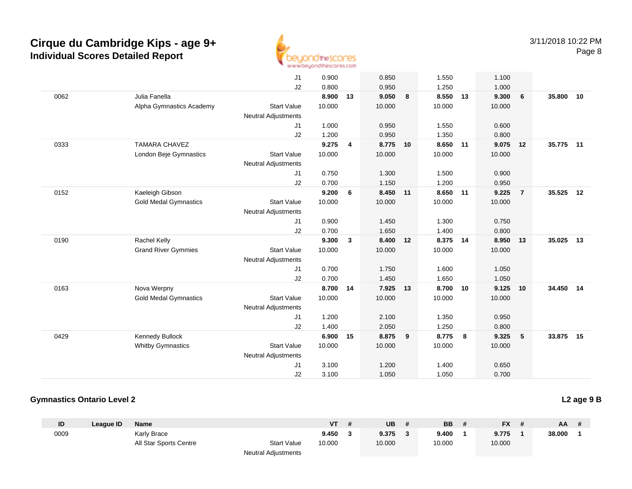

|      |                              | J1                         | 0.900  |                | 0.850    |    | 1.550    |    | 1.100  |                |           |    |
|------|------------------------------|----------------------------|--------|----------------|----------|----|----------|----|--------|----------------|-----------|----|
|      |                              | J <sub>2</sub>             | 0.800  |                | 0.950    |    | 1.250    |    | 1.000  |                |           |    |
| 0062 | Julia Fanella                |                            | 8.900  | 13             | 9.050    | 8  | 8.550    | 13 | 9.300  | 6              | 35,800    | 10 |
|      | Alpha Gymnastics Academy     | <b>Start Value</b>         | 10.000 |                | 10.000   |    | 10.000   |    | 10.000 |                |           |    |
|      |                              | Neutral Adjustments        |        |                |          |    |          |    |        |                |           |    |
|      |                              | J1                         | 1.000  |                | 0.950    |    | 1.550    |    | 0.600  |                |           |    |
|      |                              | J2                         | 1.200  |                | 0.950    |    | 1.350    |    | 0.800  |                |           |    |
| 0333 | <b>TAMARA CHAVEZ</b>         |                            | 9.275  | $\overline{4}$ | 8.775 10 |    | 8.650 11 |    | 9.075  | 12             | 35.775 11 |    |
|      | London Beje Gymnastics       | <b>Start Value</b>         | 10.000 |                | 10.000   |    | 10.000   |    | 10.000 |                |           |    |
|      |                              | <b>Neutral Adjustments</b> |        |                |          |    |          |    |        |                |           |    |
|      |                              | J1                         | 0.750  |                | 1.300    |    | 1.500    |    | 0.900  |                |           |    |
|      |                              | J2                         | 0.700  |                | 1.150    |    | 1.200    |    | 0.950  |                |           |    |
| 0152 | Kaeleigh Gibson              |                            | 9.200  | 6              | 8.450 11 |    | 8.650 11 |    | 9.225  | $\overline{7}$ | 35.525    | 12 |
|      | <b>Gold Medal Gymnastics</b> | <b>Start Value</b>         | 10.000 |                | 10.000   |    | 10.000   |    | 10.000 |                |           |    |
|      |                              | <b>Neutral Adjustments</b> |        |                |          |    |          |    |        |                |           |    |
|      |                              | J1                         | 0.900  |                | 1.450    |    | 1.300    |    | 0.750  |                |           |    |
|      |                              | J2                         | 0.700  |                | 1.650    |    | 1.400    |    | 0.800  |                |           |    |
| 0190 | Rachel Kelly                 |                            | 9.300  | $\mathbf{3}$   | 8.400    | 12 | 8.375    | 14 | 8.950  | 13             | 35.025    | 13 |
|      | <b>Grand River Gymmies</b>   | <b>Start Value</b>         | 10.000 |                | 10.000   |    | 10.000   |    | 10.000 |                |           |    |
|      |                              | <b>Neutral Adjustments</b> |        |                |          |    |          |    |        |                |           |    |
|      |                              | J1                         | 0.700  |                | 1.750    |    | 1.600    |    | 1.050  |                |           |    |
|      |                              | J2                         | 0.700  |                | 1.450    |    | 1.650    |    | 1.050  |                |           |    |
| 0163 | Nova Werpny                  |                            | 8.700  | 14             | 7.925    | 13 | 8.700    | 10 | 9.125  | 10             | 34.450    | 14 |
|      | <b>Gold Medal Gymnastics</b> | <b>Start Value</b>         | 10.000 |                | 10.000   |    | 10.000   |    | 10.000 |                |           |    |
|      |                              | <b>Neutral Adjustments</b> |        |                |          |    |          |    |        |                |           |    |
|      |                              | J1                         | 1.200  |                | 2.100    |    | 1.350    |    | 0.950  |                |           |    |
|      |                              | J2                         | 1.400  |                | 2.050    |    | 1.250    |    | 0.800  |                |           |    |
| 0429 | Kennedy Bullock              |                            | 6.900  | 15             | 8.875    | 9  | 8.775    | 8  | 9.325  | 5              | 33.875    | 15 |
|      | <b>Whitby Gymnastics</b>     | <b>Start Value</b>         | 10.000 |                | 10.000   |    | 10.000   |    | 10.000 |                |           |    |
|      |                              | <b>Neutral Adjustments</b> |        |                |          |    |          |    |        |                |           |    |
|      |                              | J1                         | 3.100  |                | 1.200    |    | 1.400    |    | 0.650  |                |           |    |
|      |                              | J2                         | 3.100  |                | 1.050    |    | 1.050    |    | 0.700  |                |           |    |

#### **Gymnastics Ontario Level 2**

**ID League ID Name VT # UB # BB # FX # AA #** 0009 Karly Brace **9.450 <sup>3</sup> 9.375 <sup>3</sup> 9.400 <sup>1</sup> 9.775 <sup>1</sup> 38.000 <sup>1</sup>** All Star Sports Centre Start Value 10.000 10.000 10.000 10.000 Neutral Adjustments

**L2 age 9 B**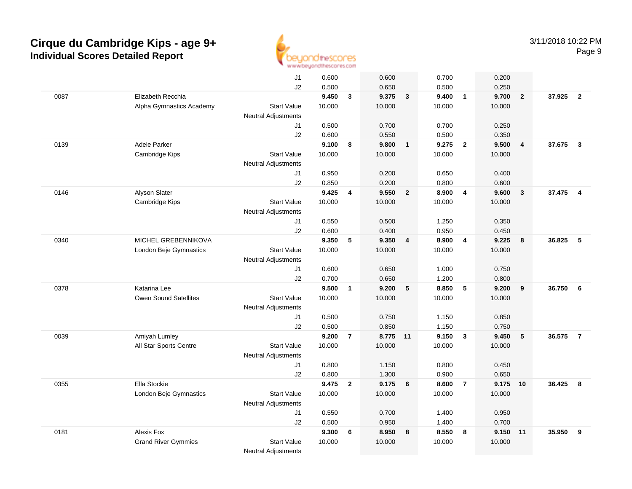

|      |                            | J1                         | 0.600           |                | 0.600          |                         | 0.700          |                         | 0.200          |                         |        |                         |
|------|----------------------------|----------------------------|-----------------|----------------|----------------|-------------------------|----------------|-------------------------|----------------|-------------------------|--------|-------------------------|
|      |                            | J2                         | 0.500           |                | 0.650          |                         | 0.500          |                         | 0.250          |                         |        |                         |
| 0087 | Elizabeth Recchia          |                            | 9.450           | $\mathbf{3}$   | 9.375          | $\overline{\mathbf{3}}$ | 9.400          | $\overline{1}$          | 9.700          | $\overline{2}$          | 37.925 | $\overline{2}$          |
|      | Alpha Gymnastics Academy   | <b>Start Value</b>         | 10.000          |                | 10.000         |                         | 10.000         |                         | 10.000         |                         |        |                         |
|      |                            | <b>Neutral Adjustments</b> |                 |                |                |                         |                |                         |                |                         |        |                         |
|      |                            | J1                         | 0.500           |                | 0.700          |                         | 0.700          |                         | 0.250          |                         |        |                         |
|      |                            | J2                         | 0.600           |                | 0.550          |                         | 0.500          |                         | 0.350          |                         |        |                         |
| 0139 | Adele Parker               |                            | 9.100           | 8              | 9.800          | $\mathbf{1}$            | 9.275          | $\overline{2}$          | 9.500          | $\overline{4}$          | 37.675 | $\overline{\mathbf{3}}$ |
|      | Cambridge Kips             | <b>Start Value</b>         | 10.000          |                | 10.000         |                         | 10.000         |                         | 10.000         |                         |        |                         |
|      |                            | Neutral Adjustments        |                 |                |                |                         |                |                         |                |                         |        |                         |
|      |                            | J1                         | 0.950           |                | 0.200          |                         | 0.650          |                         | 0.400          |                         |        |                         |
|      |                            | J2                         | 0.850           |                | 0.200          |                         | 0.800          |                         | 0.600          |                         |        |                         |
| 0146 | Alyson Slater              |                            | 9.425           | 4              | 9.550          | $\overline{\mathbf{2}}$ | 8.900          | $\overline{4}$          | 9.600          | $\overline{\mathbf{3}}$ | 37.475 | $\overline{4}$          |
|      | Cambridge Kips             | <b>Start Value</b>         | 10.000          |                | 10.000         |                         | 10.000         |                         | 10.000         |                         |        |                         |
|      |                            | <b>Neutral Adjustments</b> |                 |                |                |                         |                |                         |                |                         |        |                         |
|      |                            | J1                         | 0.550           |                | 0.500          |                         | 1.250          |                         | 0.350          |                         |        |                         |
|      |                            | J2                         | 0.600           |                | 0.400          |                         | 0.950          |                         | 0.450          |                         |        |                         |
| 0340 | MICHEL GREBENNIKOVA        |                            | 9.350           | 5              | 9.350          | $\overline{4}$          | 8.900          | $\overline{4}$          | 9.225          | 8                       | 36.825 | 5                       |
|      | London Beje Gymnastics     | <b>Start Value</b>         | 10.000          |                | 10.000         |                         | 10.000         |                         | 10.000         |                         |        |                         |
|      |                            | Neutral Adjustments        |                 |                |                |                         |                |                         |                |                         |        |                         |
|      |                            | J1                         | 0.600           |                | 0.650          |                         | 1.000          |                         | 0.750          |                         |        |                         |
|      |                            | J2                         | 0.700           |                | 0.650          |                         | 1.200          |                         | 0.800          |                         |        |                         |
| 0378 | Katarina Lee               |                            | 9.500           | $\mathbf{1}$   | 9.200          | $5\phantom{.0}$         | 8.850          | 5                       | 9.200          | 9                       | 36.750 | 6                       |
|      | Owen Sound Satellites      | <b>Start Value</b>         | 10.000          |                | 10.000         |                         | 10.000         |                         | 10.000         |                         |        |                         |
|      |                            | Neutral Adjustments        |                 |                |                |                         |                |                         |                |                         |        |                         |
|      |                            | J1                         | 0.500           |                | 0.750          |                         | 1.150          |                         | 0.850          |                         |        |                         |
|      |                            | J2                         | 0.500           |                | 0.850          |                         | 1.150          |                         | 0.750          |                         |        |                         |
| 0039 | Amiyah Lumley              |                            | 9.200           | $\overline{7}$ | 8.775 11       |                         | 9.150          | $\overline{\mathbf{3}}$ | 9.450          | 5                       | 36.575 | $\overline{7}$          |
|      | All Star Sports Centre     | <b>Start Value</b>         | 10.000          |                | 10.000         |                         | 10.000         |                         | 10.000         |                         |        |                         |
|      |                            | <b>Neutral Adjustments</b> |                 |                |                |                         |                |                         |                |                         |        |                         |
|      |                            | J1                         | 0.800<br>0.800  |                | 1.150<br>1.300 |                         | 0.800          |                         | 0.450          |                         |        |                         |
|      |                            | J2                         |                 |                |                |                         | 0.900          | $\overline{7}$          | 0.650          |                         |        |                         |
| 0355 | Ella Stockie               |                            | 9.475           | $\overline{2}$ | 9.175          | 6                       | 8.600          |                         | 9.175          | 10                      | 36.425 | - 8                     |
|      | London Beje Gymnastics     | <b>Start Value</b>         | 10.000          |                | 10.000         |                         | 10.000         |                         | 10.000         |                         |        |                         |
|      |                            | Neutral Adjustments        |                 |                |                |                         |                |                         |                |                         |        |                         |
|      |                            | J1                         | 0.550           |                | 0.700          |                         | 1.400          |                         | 0.950<br>0.700 |                         |        |                         |
|      | Alexis Fox                 | J2                         | 0.500           |                | 0.950<br>8.950 |                         | 1.400<br>8.550 |                         | 9.150          |                         | 35.950 | 9                       |
| 0181 |                            | <b>Start Value</b>         | 9.300<br>10.000 | 6              | 10.000         | 8                       | 10.000         | 8                       | 10.000         | 11                      |        |                         |
|      | <b>Grand River Gymmies</b> |                            |                 |                |                |                         |                |                         |                |                         |        |                         |
|      |                            | <b>Neutral Adjustments</b> |                 |                |                |                         |                |                         |                |                         |        |                         |